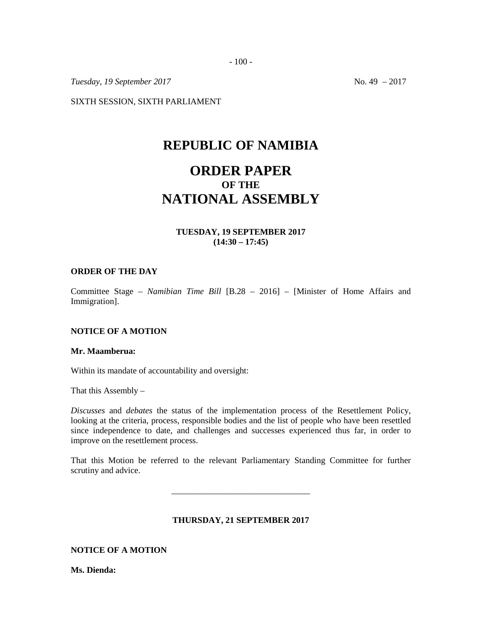- 100 -

*Tuesday, 19 September 2017* No. 49 – 2017

SIXTH SESSION, SIXTH PARLIAMENT

## **REPUBLIC OF NAMIBIA**

# **ORDER PAPER OF THE NATIONAL ASSEMBLY**

## **TUESDAY, 19 SEPTEMBER 2017 (14:30 – 17:45)**

#### **ORDER OF THE DAY**

Committee Stage *– Namibian Time Bill* [B.28 – 2016] – [Minister of Home Affairs and Immigration].

## **NOTICE OF A MOTION**

#### **Mr. Maamberua:**

Within its mandate of accountability and oversight:

That this Assembly –

*Discusses* and *debates* the status of the implementation process of the Resettlement Policy, looking at the criteria, process, responsible bodies and the list of people who have been resettled since independence to date, and challenges and successes experienced thus far, in order to improve on the resettlement process.

That this Motion be referred to the relevant Parliamentary Standing Committee for further scrutiny and advice.

\_\_\_\_\_\_\_\_\_\_\_\_\_\_\_\_\_\_\_\_\_\_\_\_\_\_\_\_\_\_\_\_

#### **THURSDAY, 21 SEPTEMBER 2017**

#### **NOTICE OF A MOTION**

**Ms. Dienda:**